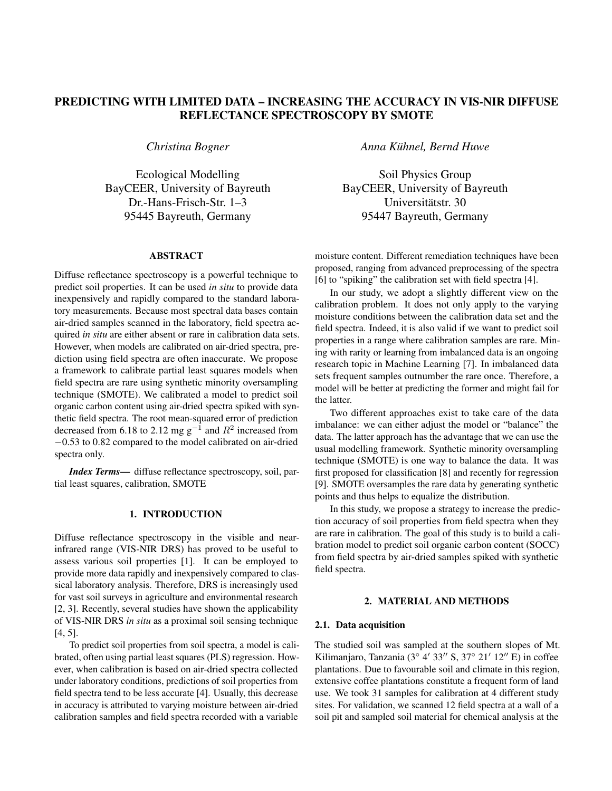# PREDICTING WITH LIMITED DATA – INCREASING THE ACCURACY IN VIS-NIR DIFFUSE REFLECTANCE SPECTROSCOPY BY SMOTE

*Christina Bogner*

Ecological Modelling BayCEER, University of Bayreuth Dr.-Hans-Frisch-Str. 1–3 95445 Bayreuth, Germany

#### ABSTRACT

Diffuse reflectance spectroscopy is a powerful technique to predict soil properties. It can be used *in situ* to provide data inexpensively and rapidly compared to the standard laboratory measurements. Because most spectral data bases contain air-dried samples scanned in the laboratory, field spectra acquired *in situ* are either absent or rare in calibration data sets. However, when models are calibrated on air-dried spectra, prediction using field spectra are often inaccurate. We propose a framework to calibrate partial least squares models when field spectra are rare using synthetic minority oversampling technique (SMOTE). We calibrated a model to predict soil organic carbon content using air-dried spectra spiked with synthetic field spectra. The root mean-squared error of prediction decreased from 6.18 to 2.12 mg  $g^{-1}$  and  $R^2$  increased from −0.53 to 0.82 compared to the model calibrated on air-dried spectra only.

*Index Terms*— diffuse reflectance spectroscopy, soil, partial least squares, calibration, SMOTE

## 1. INTRODUCTION

Diffuse reflectance spectroscopy in the visible and nearinfrared range (VIS-NIR DRS) has proved to be useful to assess various soil properties [1]. It can be employed to provide more data rapidly and inexpensively compared to classical laboratory analysis. Therefore, DRS is increasingly used for vast soil surveys in agriculture and environmental research [2, 3]. Recently, several studies have shown the applicability of VIS-NIR DRS *in situ* as a proximal soil sensing technique [4, 5].

To predict soil properties from soil spectra, a model is calibrated, often using partial least squares (PLS) regression. However, when calibration is based on air-dried spectra collected under laboratory conditions, predictions of soil properties from field spectra tend to be less accurate [4]. Usually, this decrease in accuracy is attributed to varying moisture between air-dried calibration samples and field spectra recorded with a variable

*Anna Kuhnel, Bernd Huwe ¨*

Soil Physics Group BayCEER, University of Bayreuth Universitätstr. 30 95447 Bayreuth, Germany

moisture content. Different remediation techniques have been proposed, ranging from advanced preprocessing of the spectra [6] to "spiking" the calibration set with field spectra [4].

In our study, we adopt a slightly different view on the calibration problem. It does not only apply to the varying moisture conditions between the calibration data set and the field spectra. Indeed, it is also valid if we want to predict soil properties in a range where calibration samples are rare. Mining with rarity or learning from imbalanced data is an ongoing research topic in Machine Learning [7]. In imbalanced data sets frequent samples outnumber the rare once. Therefore, a model will be better at predicting the former and might fail for the latter.

Two different approaches exist to take care of the data imbalance: we can either adjust the model or "balance" the data. The latter approach has the advantage that we can use the usual modelling framework. Synthetic minority oversampling technique (SMOTE) is one way to balance the data. It was first proposed for classification [8] and recently for regression [9]. SMOTE oversamples the rare data by generating synthetic points and thus helps to equalize the distribution.

In this study, we propose a strategy to increase the prediction accuracy of soil properties from field spectra when they are rare in calibration. The goal of this study is to build a calibration model to predict soil organic carbon content (SOCC) from field spectra by air-dried samples spiked with synthetic field spectra.

#### 2. MATERIAL AND METHODS

#### 2.1. Data acquisition

The studied soil was sampled at the southern slopes of Mt. Kilimanjaro, Tanzania ( $3°$  4'  $33''$  S,  $37°$  21' 12" E) in coffee plantations. Due to favourable soil and climate in this region, extensive coffee plantations constitute a frequent form of land use. We took 31 samples for calibration at 4 different study sites. For validation, we scanned 12 field spectra at a wall of a soil pit and sampled soil material for chemical analysis at the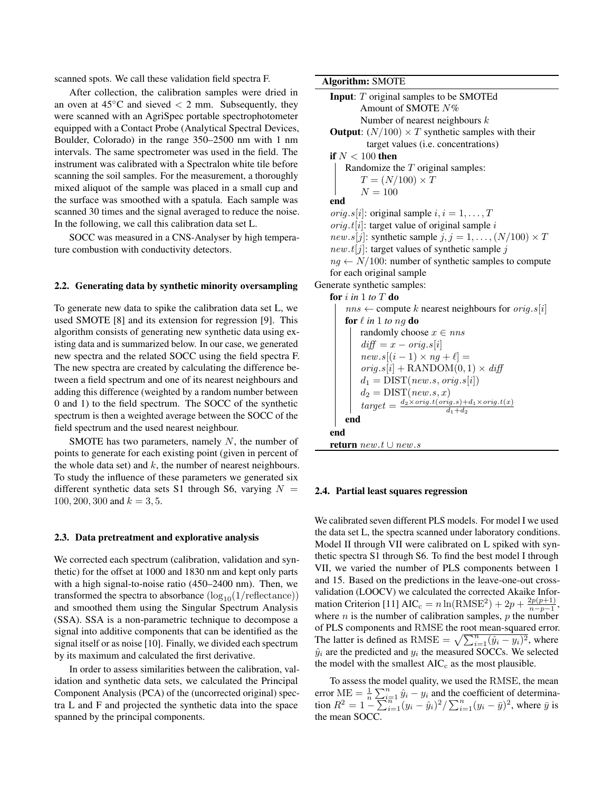scanned spots. We call these validation field spectra F.

After collection, the calibration samples were dried in an oven at  $45^{\circ}$ C and sieved  $<$  2 mm. Subsequently, they were scanned with an AgriSpec portable spectrophotometer equipped with a Contact Probe (Analytical Spectral Devices, Boulder, Colorado) in the range 350–2500 nm with 1 nm intervals. The same spectrometer was used in the field. The instrument was calibrated with a Spectralon white tile before scanning the soil samples. For the measurement, a thoroughly mixed aliquot of the sample was placed in a small cup and the surface was smoothed with a spatula. Each sample was scanned 30 times and the signal averaged to reduce the noise. In the following, we call this calibration data set L.

SOCC was measured in a CNS-Analyser by high temperature combustion with conductivity detectors.

#### 2.2. Generating data by synthetic minority oversampling

To generate new data to spike the calibration data set L, we used SMOTE [8] and its extension for regression [9]. This algorithm consists of generating new synthetic data using existing data and is summarized below. In our case, we generated new spectra and the related SOCC using the field spectra F. The new spectra are created by calculating the difference between a field spectrum and one of its nearest neighbours and adding this difference (weighted by a random number between 0 and 1) to the field spectrum. The SOCC of the synthetic spectrum is then a weighted average between the SOCC of the field spectrum and the used nearest neighbour.

SMOTE has two parameters, namely  $N$ , the number of points to generate for each existing point (given in percent of the whole data set) and  $k$ , the number of nearest neighbours. To study the influence of these parameters we generated six different synthetic data sets S1 through S6, varying  $N =$ 100, 200, 300 and  $k = 3, 5$ .

#### 2.3. Data pretreatment and explorative analysis

We corrected each spectrum (calibration, validation and synthetic) for the offset at 1000 and 1830 nm and kept only parts with a high signal-to-noise ratio (450–2400 nm). Then, we transformed the spectra to absorbance  $(\log_{10}(1/\text{reflectance}))$ and smoothed them using the Singular Spectrum Analysis (SSA). SSA is a non-parametric technique to decompose a signal into additive components that can be identified as the signal itself or as noise [10]. Finally, we divided each spectrum by its maximum and calculated the first derivative.

In order to assess similarities between the calibration, validation and synthetic data sets, we calculated the Principal Component Analysis (PCA) of the (uncorrected original) spectra L and F and projected the synthetic data into the space spanned by the principal components.

Algorithm: SMOTE

```
Input: T original samples to be SMOTEd
            Amount of SMOTE N%
            Number of nearest neighbours kOutput: (N/100) \times T synthetic samples with their
              target values (i.e. concentrations)
   if N < 100 then
        Randomize the T original samples:
            T = (N/100) \times TN = 100end
    orig.s[i]: original sample i, i = 1, \ldots, Torig.t[i]: target value of original sample i
    new.s[j]: synthetic sample j, j = 1, \ldots, (N/100) \times Tnew.t[j]: target values of synthetic sample j
    ng \leftarrow N/100: number of synthetic samples to compute
    for each original sample
Generate synthetic samples:
   for i in 1 to T do
        nns \leftarrow compute k nearest neighbours for orig.s[i]
        for \ell in 1 to ng do
            randomly choose x \in nnsdiff = x - orig.s[i]new.s[(i-1) \times ng + \ell] =orig.s[i] +RANDOM(0, 1) \times diffd_1 = \text{DIST}(new.s, orig.s[i])d_2 = \text{DIST}(new.s, x)target = \frac{d_2 \times orig.t(orig.s)+d_1 \times orig.t(x)}{d_1 + d_2}d_1+d_2end
    end
    return new.t ∪ new.s
```
#### 2.4. Partial least squares regression

We calibrated seven different PLS models. For model I we used the data set L, the spectra scanned under laboratory conditions. Model II through VII were calibrated on L spiked with synthetic spectra S1 through S6. To find the best model I through VII, we varied the number of PLS components between 1 and 15. Based on the predictions in the leave-one-out crossvalidation (LOOCV) we calculated the corrected Akaike Information Criterion [11]  $AIC_c = n \ln(RMSE^2) + 2p + \frac{2p(p+1)}{n-p-1}$  $\frac{2p(p+1)}{n-p-1},$ where  $n$  is the number of calibration samples,  $p$  the number of PLS components and RMSE the root mean-squared error. The latter is defined as RMSE =  $\sqrt{\sum_{i=1}^{n} (\hat{y}_i - y_i)^2}$ , where  $\hat{y}_i$  are the predicted and  $y_i$  the measured SOCCs. We selected the model with the smallest  $AIC<sub>c</sub>$  as the most plausible.

To assess the model quality, we used the RMSE, the mean error  $ME = \frac{1}{n} \sum_{i=1}^{n} \hat{y}_i - y_i$  and the coefficient of determination  $R^2 = 1 - \sum_{i=1}^{n} (y_i - \hat{y}_i)^2 / \sum_{i=1}^{n} (y_i - \bar{y})^2$ , where  $\bar{y}$  is the mean SOCC.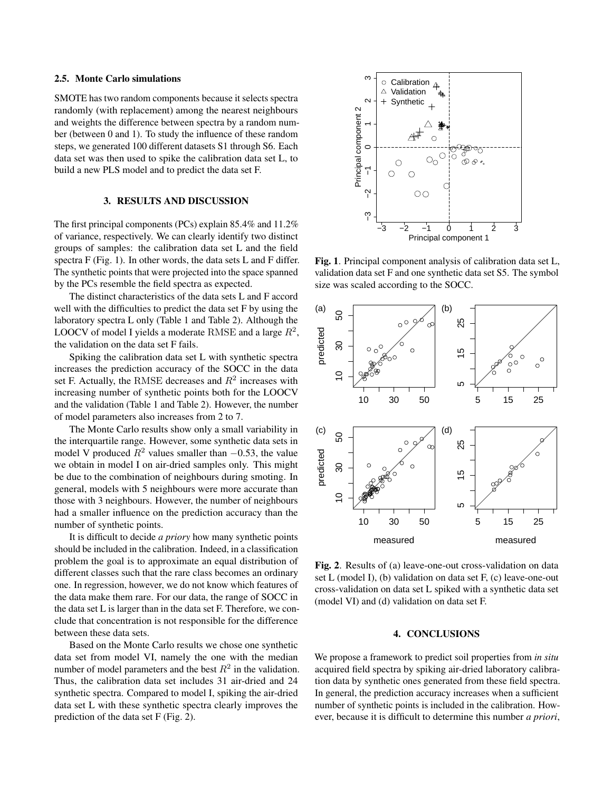#### 2.5. Monte Carlo simulations

SMOTE has two random components because it selects spectra randomly (with replacement) among the nearest neighbours and weights the difference between spectra by a random number (between 0 and 1). To study the influence of these random steps, we generated 100 different datasets S1 through S6. Each data set was then used to spike the calibration data set L, to build a new PLS model and to predict the data set F.

## 3. RESULTS AND DISCUSSION

The first principal components (PCs) explain 85.4% and 11.2% of variance, respectively. We can clearly identify two distinct groups of samples: the calibration data set L and the field spectra F (Fig. 1). In other words, the data sets L and F differ. The synthetic points that were projected into the space spanned by the PCs resemble the field spectra as expected.

The distinct characteristics of the data sets L and F accord well with the difficulties to predict the data set F by using the laboratory spectra L only (Table 1 and Table 2). Although the LOOCV of model I yields a moderate RMSE and a large  $R^2$ , the validation on the data set F fails.

Spiking the calibration data set L with synthetic spectra increases the prediction accuracy of the SOCC in the data set F. Actually, the RMSE decreases and  $R^2$  increases with increasing number of synthetic points both for the LOOCV and the validation (Table 1 and Table 2). However, the number of model parameters also increases from 2 to 7.

The Monte Carlo results show only a small variability in the interquartile range. However, some synthetic data sets in model V produced  $R^2$  values smaller than −0.53, the value we obtain in model I on air-dried samples only. This might be due to the combination of neighbours during smoting. In general, models with 5 neighbours were more accurate than those with 3 neighbours. However, the number of neighbours had a smaller influence on the prediction accuracy than the number of synthetic points.

It is difficult to decide *a priory* how many synthetic points should be included in the calibration. Indeed, in a classification problem the goal is to approximate an equal distribution of different classes such that the rare class becomes an ordinary one. In regression, however, we do not know which features of the data make them rare. For our data, the range of SOCC in the data set L is larger than in the data set F. Therefore, we conclude that concentration is not responsible for the difference between these data sets.

Based on the Monte Carlo results we chose one synthetic data set from model VI, namely the one with the median number of model parameters and the best  $R^2$  in the validation. Thus, the calibration data set includes 31 air-dried and 24 synthetic spectra. Compared to model I, spiking the air-dried data set L with these synthetic spectra clearly improves the prediction of the data set F (Fig. 2).



Fig. 1. Principal component analysis of calibration data set L, validation data set F and one synthetic data set S5. The symbol size was scaled according to the SOCC.



Fig. 2. Results of (a) leave-one-out cross-validation on data set L (model I), (b) validation on data set F, (c) leave-one-out cross-validation on data set L spiked with a synthetic data set (model VI) and (d) validation on data set F.

#### 4. CONCLUSIONS

We propose a framework to predict soil properties from *in situ* acquired field spectra by spiking air-dried laboratory calibration data by synthetic ones generated from these field spectra. In general, the prediction accuracy increases when a sufficient number of synthetic points is included in the calibration. However, because it is difficult to determine this number *a priori*,